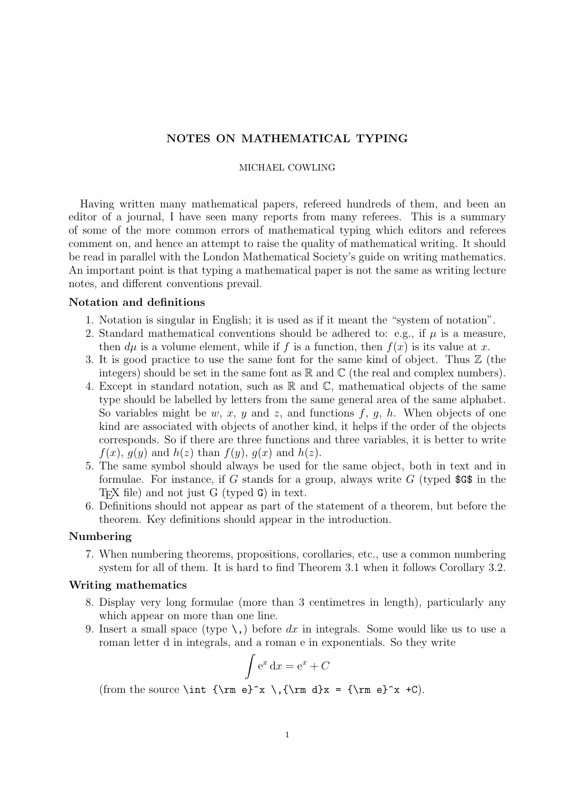# NOTES ON MATHEMATICAL TYPING

#### MICHAEL COWLING

Having written many mathematical papers, refereed hundreds of them, and been an editor of a journal, I have seen many reports from many referees. This is a summary of some of the more common errors of mathematical typing which editors and referees comment on, and hence an attempt to raise the quality of mathematical writing. It should be read in parallel with the London Mathematical Society's guide on writing mathematics. An important point is that typing a mathematical paper is not the same as writing lecture notes, and different conventions prevail.

### Notation and definitions

- 1. Notation is singular in English; it is used as if it meant the "system of notation".
- 2. Standard mathematical conventions should be adhered to: e.g., if  $\mu$  is a measure, then  $d\mu$  is a volume element, while if f is a function, then  $f(x)$  is its value at x.
- 3. It is good practice to use the same font for the same kind of object. Thus Z (the integers) should be set in the same font as  $\mathbb R$  and  $\mathbb C$  (the real and complex numbers).
- 4. Except in standard notation, such as  $\mathbb R$  and  $\mathbb C$ , mathematical objects of the same type should be labelled by letters from the same general area of the same alphabet. So variables might be w, x, y and z, and functions f, q, h. When objects of one kind are associated with objects of another kind, it helps if the order of the objects corresponds. So if there are three functions and three variables, it is better to write  $f(x)$ ,  $g(y)$  and  $h(z)$  than  $f(y)$ ,  $g(x)$  and  $h(z)$ .
- 5. The same symbol should always be used for the same object, both in text and in formulae. For instance, if G stands for a group, always write  $G$  (typed  $\$ G\$ in the T<sub>E</sub>X file) and not just G (typed G) in text.
- 6. Definitions should not appear as part of the statement of a theorem, but before the theorem. Key definitions should appear in the introduction.

## Numbering

7. When numbering theorems, propositions, corollaries, etc., use a common numbering system for all of them. It is hard to find Theorem 3.1 when it follows Corollary 3.2.

## Writing mathematics

- 8. Display very long formulae (more than 3 centimetres in length), particularly any which appear on more than one line.
- 9. Insert a small space (type  $\setminus$ ,) before dx in integrals. Some would like us to use a roman letter d in integrals, and a roman e in exponentials. So they write  $\overline{a}$

$$
\int e^x dx = e^x + C
$$

(from the source \int {\rm e}^x \,{\rm d}x = {\rm e}^x +C).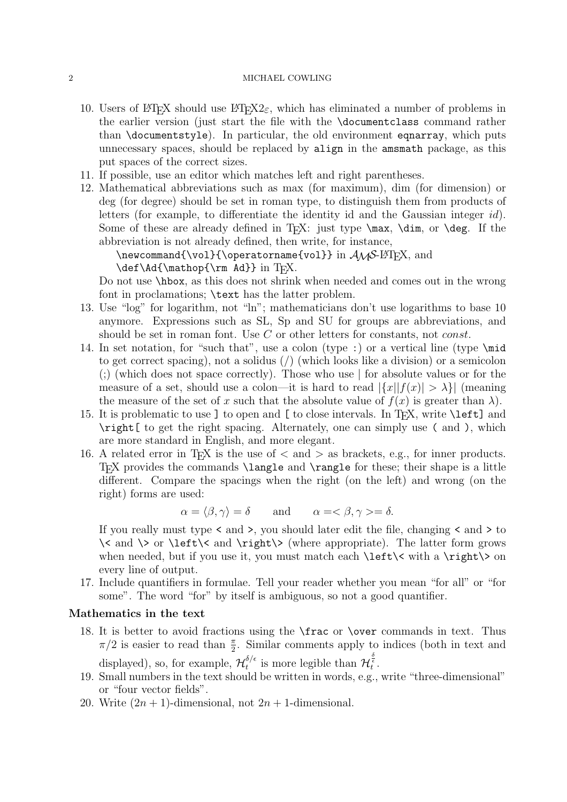## 2 MICHAEL COWLING

- 10. Users of LAT<sub>EX</sub> should use LAT<sub>E</sub>X<sub>2</sub> $\varepsilon$ , which has eliminated a number of problems in the earlier version (just start the file with the \documentclass command rather than \documentstyle). In particular, the old environment eqnarray, which puts unnecessary spaces, should be replaced by align in the amsmath package, as this put spaces of the correct sizes.
- 11. If possible, use an editor which matches left and right parentheses.
- 12. Mathematical abbreviations such as max (for maximum), dim (for dimension) or deg (for degree) should be set in roman type, to distinguish them from products of letters (for example, to differentiate the identity id and the Gaussian integer id). Some of these are already defined in T<sub>EX</sub>: just type  $\max$ ,  $\dim$ , or  $\deg$ . If the abbreviation is not already defined, then write, for instance,

```
\newcommand{\v01}{\operatorname{vol}}{\operatorname{vol}} in \mathcal{S}-\operatorname{BTr}X, and
\def\Ad{\mathop{\rm Ad}} in TFX.
```
Do not use \hbox, as this does not shrink when needed and comes out in the wrong font in proclamations; \text has the latter problem.

- 13. Use "log" for logarithm, not "ln"; mathematicians don't use logarithms to base 10 anymore. Expressions such as SL, Sp and SU for groups are abbreviations, and should be set in roman font. Use C or other letters for constants, not *const*.
- 14. In set notation, for "such that", use a colon (type :) or a vertical line (type \mid to get correct spacing), not a solidus (/) (which looks like a division) or a semicolon (;) (which does not space correctly). Those who use | for absolute values or for the measure of a set, should use a colon—it is hard to read  $|\{x||f(x)| > \lambda\}|$  (meaning the measure of the set of x such that the absolute value of  $f(x)$  is greater than  $\lambda$ ).
- 15. It is problematic to use ] to open and [ to close intervals. In TEX, write \left] and \right[ to get the right spacing. Alternately, one can simply use ( and ), which are more standard in English, and more elegant.
- 16. A related error in T<sub>E</sub>X is the use of  $\langle$  and  $\rangle$  as brackets, e.g., for inner products. TEX provides the commands \langle and \rangle for these; their shape is a little different. Compare the spacings when the right (on the left) and wrong (on the right) forms are used:

$$
\alpha = \langle \beta, \gamma \rangle = \delta
$$
 and  $\alpha = \langle \beta, \gamma \rangle = \delta$ .

If you really must type < and >, you should later edit the file, changing < and > to  $\setminus$  and  $\setminus$  or  $\left\{\left(\frac{\mathsf{m}}{\mathsf{m}}\right)\right\}$  (where appropriate). The latter form grows when needed, but if you use it, you must match each  $\left\{\left|\right\| \leq \frac{\right\}}{2}$  on every line of output.

17. Include quantifiers in formulae. Tell your reader whether you mean "for all" or "for some". The word "for" by itself is ambiguous, so not a good quantifier.

### Mathematics in the text

- 18. It is better to avoid fractions using the \frac or \over commands in text. Thus  $\pi/2$  is easier to read than  $\frac{\pi}{2}$ . Similar comments apply to indices (both in text and displayed), so, for example,  $\mathcal{H}^{\delta/\epsilon}_{t}$  $t^{\delta/\epsilon}$  is more legible than  $\mathcal{H}_t^{\frac{\delta}{\epsilon}}$ .
- 19. Small numbers in the text should be written in words, e.g., write "three-dimensional" or "four vector fields".
- 20. Write  $(2n + 1)$ -dimensional, not  $2n + 1$ -dimensional.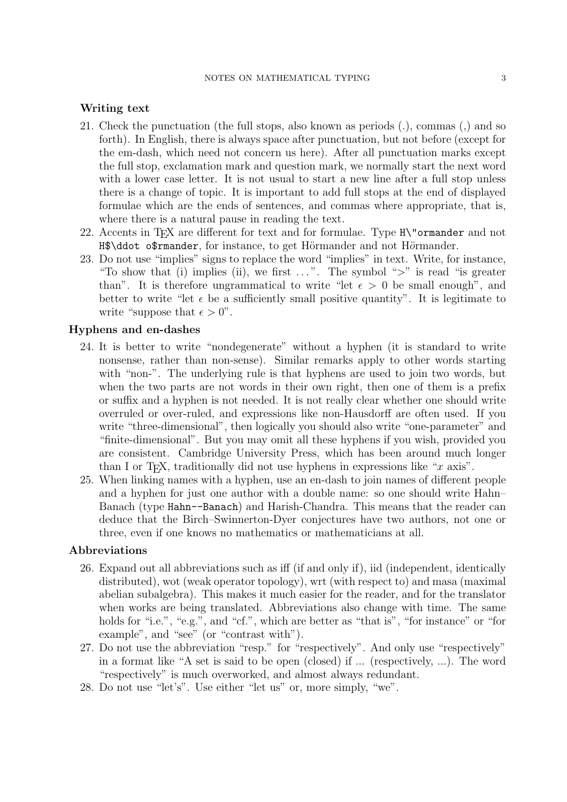### Writing text

- 21. Check the punctuation (the full stops, also known as periods (.), commas (,) and so forth). In English, there is always space after punctuation, but not before (except for the em-dash, which need not concern us here). After all punctuation marks except the full stop, exclamation mark and question mark, we normally start the next word with a lower case letter. It is not usual to start a new line after a full stop unless there is a change of topic. It is important to add full stops at the end of displayed formulae which are the ends of sentences, and commas where appropriate, that is, where there is a natural pause in reading the text.
- 22. Accents in TEX are different for text and for formulae. Type H\"ormander and not H\$\ddot o\$rmander, for instance, to get Hörmander and not Hörmander.
- 23. Do not use "implies" signs to replace the word "implies" in text. Write, for instance, "To show that (i) implies (ii), we first  $\dots$ ". The symbol ">" is read "is greater than". It is therefore ungrammatical to write "let  $\epsilon > 0$  be small enough", and better to write "let  $\epsilon$  be a sufficiently small positive quantity". It is legitimate to write "suppose that  $\epsilon > 0$ ".

# Hyphens and en-dashes

- 24. It is better to write "nondegenerate" without a hyphen (it is standard to write nonsense, rather than non-sense). Similar remarks apply to other words starting with "non-". The underlying rule is that hyphens are used to join two words, but when the two parts are not words in their own right, then one of them is a prefix or suffix and a hyphen is not needed. It is not really clear whether one should write overruled or over-ruled, and expressions like non-Hausdorff are often used. If you write "three-dimensional", then logically you should also write "one-parameter" and "finite-dimensional". But you may omit all these hyphens if you wish, provided you are consistent. Cambridge University Press, which has been around much longer than I or T<sub>E</sub>X, traditionally did not use hyphens in expressions like "x axis".
- 25. When linking names with a hyphen, use an en-dash to join names of different people and a hyphen for just one author with a double name: so one should write Hahn– Banach (type Hahn--Banach) and Harish-Chandra. This means that the reader can deduce that the Birch–Swinnerton-Dyer conjectures have two authors, not one or three, even if one knows no mathematics or mathematicians at all.

## Abbreviations

- 26. Expand out all abbreviations such as iff (if and only if), iid (independent, identically distributed), wot (weak operator topology), wrt (with respect to) and masa (maximal abelian subalgebra). This makes it much easier for the reader, and for the translator when works are being translated. Abbreviations also change with time. The same holds for "i.e.", "e.g.", and "cf.", which are better as "that is", "for instance" or "for example", and "see" (or "contrast with").
- 27. Do not use the abbreviation "resp." for "respectively". And only use "respectively" in a format like "A set is said to be open (closed) if ... (respectively, ...). The word "respectively" is much overworked, and almost always redundant.
- 28. Do not use "let's". Use either "let us" or, more simply, "we".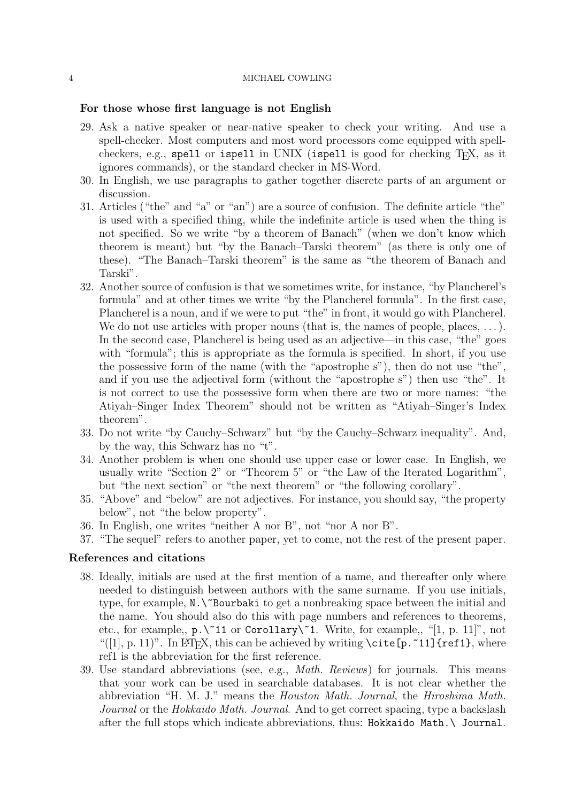#### 4 MICHAEL COWLING

### For those whose first language is not English

- 29. Ask a native speaker or near-native speaker to check your writing. And use a spell-checker. Most computers and most word processors come equipped with spellcheckers, e.g., spell or ispell in UNIX (ispell is good for checking TEX, as it ignores commands), or the standard checker in MS-Word.
- 30. In English, we use paragraphs to gather together discrete parts of an argument or discussion.
- 31. Articles ("the" and "a" or "an") are a source of confusion. The definite article "the" is used with a specified thing, while the indefinite article is used when the thing is not specified. So we write "by a theorem of Banach" (when we don't know which theorem is meant) but "by the Banach–Tarski theorem" (as there is only one of these). "The Banach–Tarski theorem" is the same as "the theorem of Banach and Tarski".
- 32. Another source of confusion is that we sometimes write, for instance, "by Plancherel's formula" and at other times we write "by the Plancherel formula". In the first case, Plancherel is a noun, and if we were to put "the" in front, it would go with Plancherel. We do not use articles with proper nouns (that is, the names of people, places, ...). In the second case, Plancherel is being used as an adjective—in this case, "the" goes with "formula"; this is appropriate as the formula is specified. In short, if you use the possessive form of the name (with the "apostrophe s"), then do not use "the", and if you use the adjectival form (without the "apostrophe s") then use "the". It is not correct to use the possessive form when there are two or more names: "the Atiyah–Singer Index Theorem" should not be written as "Atiyah–Singer's Index theorem".
- 33. Do not write "by Cauchy–Schwarz" but "by the Cauchy–Schwarz inequality". And, by the way, this Schwarz has no "t".
- 34. Another problem is when one should use upper case or lower case. In English, we usually write "Section 2" or "Theorem 5" or "the Law of the Iterated Logarithm", but "the next section" or "the next theorem" or "the following corollary".
- 35. "Above" and "below" are not adjectives. For instance, you should say, "the property below", not "the below property".
- 36. In English, one writes "neither A nor B", not "nor A nor B".
- 37. "The sequel" refers to another paper, yet to come, not the rest of the present paper.

## References and citations

- 38. Ideally, initials are used at the first mention of a name, and thereafter only where needed to distinguish between authors with the same surname. If you use initials, type, for example,  $N.\Upsilon$ Bourbaki to get a nonbreaking space between the initial and the name. You should also do this with page numbers and references to theorems, etc., for example,,  $p.\check{11}$  or Corollary $\check{1}$ . Write, for example,, "[1, p. 11]", not "([1], p. 11)". In LAT<sub>E</sub>X, this can be achieved by writing  $\ct{$ ite[p.~11]{ref1}, where ref1 is the abbreviation for the first reference.
- 39. Use standard abbreviations (see, e.g., Math. Reviews) for journals. This means that your work can be used in searchable databases. It is not clear whether the abbreviation "H. M. J." means the Houston Math. Journal, the Hiroshima Math. Journal or the Hokkaido Math. Journal. And to get correct spacing, type a backslash after the full stops which indicate abbreviations, thus: Hokkaido Math.\ Journal.